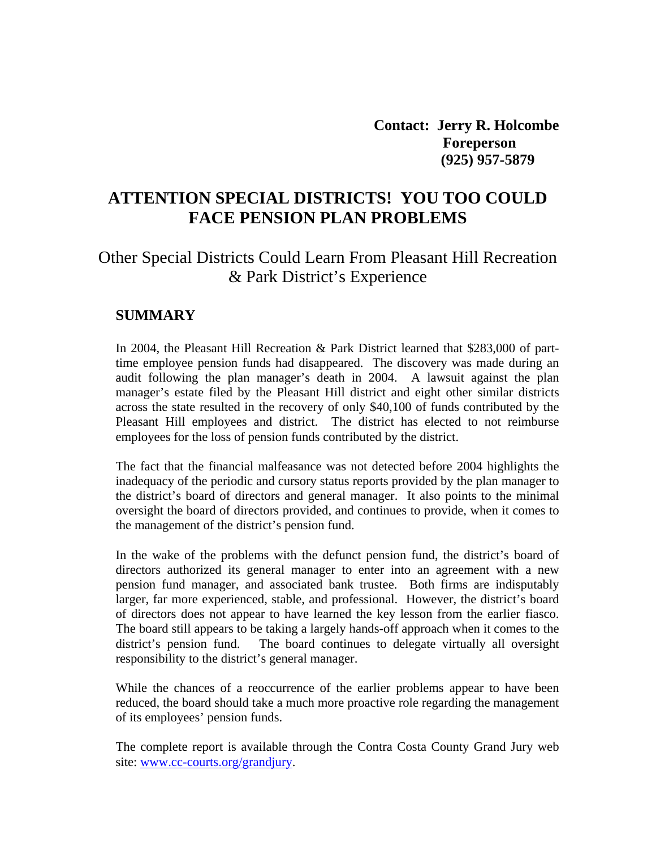**Contact: Jerry R. Holcombe Foreperson (925) 957-5879** 

# **ATTENTION SPECIAL DISTRICTS! YOU TOO COULD FACE PENSION PLAN PROBLEMS**

## Other Special Districts Could Learn From Pleasant Hill Recreation & Park District's Experience

#### **SUMMARY**

In 2004, the Pleasant Hill Recreation & Park District learned that \$283,000 of parttime employee pension funds had disappeared. The discovery was made during an audit following the plan manager's death in 2004. A lawsuit against the plan manager's estate filed by the Pleasant Hill district and eight other similar districts across the state resulted in the recovery of only \$40,100 of funds contributed by the Pleasant Hill employees and district. The district has elected to not reimburse employees for the loss of pension funds contributed by the district.

The fact that the financial malfeasance was not detected before 2004 highlights the inadequacy of the periodic and cursory status reports provided by the plan manager to the district's board of directors and general manager. It also points to the minimal oversight the board of directors provided, and continues to provide, when it comes to the management of the district's pension fund.

In the wake of the problems with the defunct pension fund, the district's board of directors authorized its general manager to enter into an agreement with a new pension fund manager, and associated bank trustee. Both firms are indisputably larger, far more experienced, stable, and professional. However, the district's board of directors does not appear to have learned the key lesson from the earlier fiasco. The board still appears to be taking a largely hands-off approach when it comes to the district's pension fund. The board continues to delegate virtually all oversight responsibility to the district's general manager.

While the chances of a reoccurrence of the earlier problems appear to have been reduced, the board should take a much more proactive role regarding the management of its employees' pension funds.

The complete report is available through the Contra Costa County Grand Jury web site: [www.cc-courts.org/grandjury.](http://www.cc-courts.org/grandjury)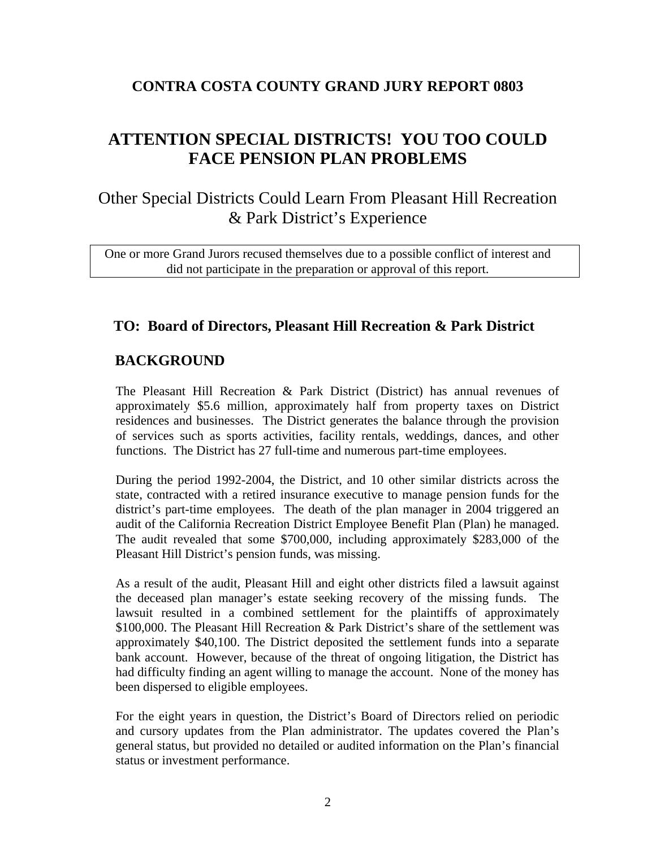## **CONTRA COSTA COUNTY GRAND JURY REPORT 0803**

# **ATTENTION SPECIAL DISTRICTS! YOU TOO COULD FACE PENSION PLAN PROBLEMS**

Other Special Districts Could Learn From Pleasant Hill Recreation & Park District's Experience

One or more Grand Jurors recused themselves due to a possible conflict of interest and did not participate in the preparation or approval of this report.

## **TO: Board of Directors, Pleasant Hill Recreation & Park District**

## **BACKGROUND**

The Pleasant Hill Recreation & Park District (District) has annual revenues of approximately \$5.6 million, approximately half from property taxes on District residences and businesses. The District generates the balance through the provision of services such as sports activities, facility rentals, weddings, dances, and other functions. The District has 27 full-time and numerous part-time employees.

During the period 1992-2004, the District, and 10 other similar districts across the state, contracted with a retired insurance executive to manage pension funds for the district's part-time employees. The death of the plan manager in 2004 triggered an audit of the California Recreation District Employee Benefit Plan (Plan) he managed. The audit revealed that some \$700,000, including approximately \$283,000 of the Pleasant Hill District's pension funds, was missing.

As a result of the audit, Pleasant Hill and eight other districts filed a lawsuit against the deceased plan manager's estate seeking recovery of the missing funds. The lawsuit resulted in a combined settlement for the plaintiffs of approximately \$100,000. The Pleasant Hill Recreation & Park District's share of the settlement was approximately \$40,100. The District deposited the settlement funds into a separate bank account. However, because of the threat of ongoing litigation, the District has had difficulty finding an agent willing to manage the account. None of the money has been dispersed to eligible employees.

For the eight years in question, the District's Board of Directors relied on periodic and cursory updates from the Plan administrator. The updates covered the Plan's general status, but provided no detailed or audited information on the Plan's financial status or investment performance.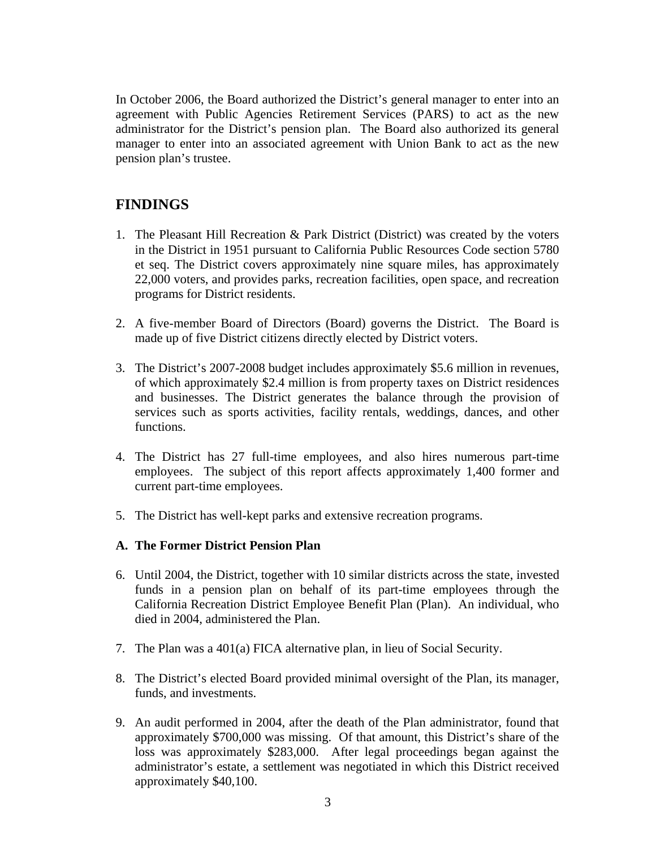In October 2006, the Board authorized the District's general manager to enter into an agreement with Public Agencies Retirement Services (PARS) to act as the new administrator for the District's pension plan. The Board also authorized its general manager to enter into an associated agreement with Union Bank to act as the new pension plan's trustee.

## **FINDINGS**

- 1. The Pleasant Hill Recreation & Park District (District) was created by the voters in the District in 1951 pursuant to California Public Resources Code section 5780 et seq. The District covers approximately nine square miles, has approximately 22,000 voters, and provides parks, recreation facilities, open space, and recreation programs for District residents.
- 2. A five-member Board of Directors (Board) governs the District. The Board is made up of five District citizens directly elected by District voters.
- 3. The District's 2007-2008 budget includes approximately \$5.6 million in revenues, of which approximately \$2.4 million is from property taxes on District residences and businesses. The District generates the balance through the provision of services such as sports activities, facility rentals, weddings, dances, and other functions.
- 4. The District has 27 full-time employees, and also hires numerous part-time employees. The subject of this report affects approximately 1,400 former and current part-time employees.
- 5. The District has well-kept parks and extensive recreation programs.

#### **A. The Former District Pension Plan**

- 6. Until 2004, the District, together with 10 similar districts across the state, invested funds in a pension plan on behalf of its part-time employees through the California Recreation District Employee Benefit Plan (Plan). An individual, who died in 2004, administered the Plan.
- 7. The Plan was a 401(a) FICA alternative plan, in lieu of Social Security.
- 8. The District's elected Board provided minimal oversight of the Plan, its manager, funds, and investments.
- 9. An audit performed in 2004, after the death of the Plan administrator, found that approximately \$700,000 was missing. Of that amount, this District's share of the loss was approximately \$283,000. After legal proceedings began against the administrator's estate, a settlement was negotiated in which this District received approximately \$40,100.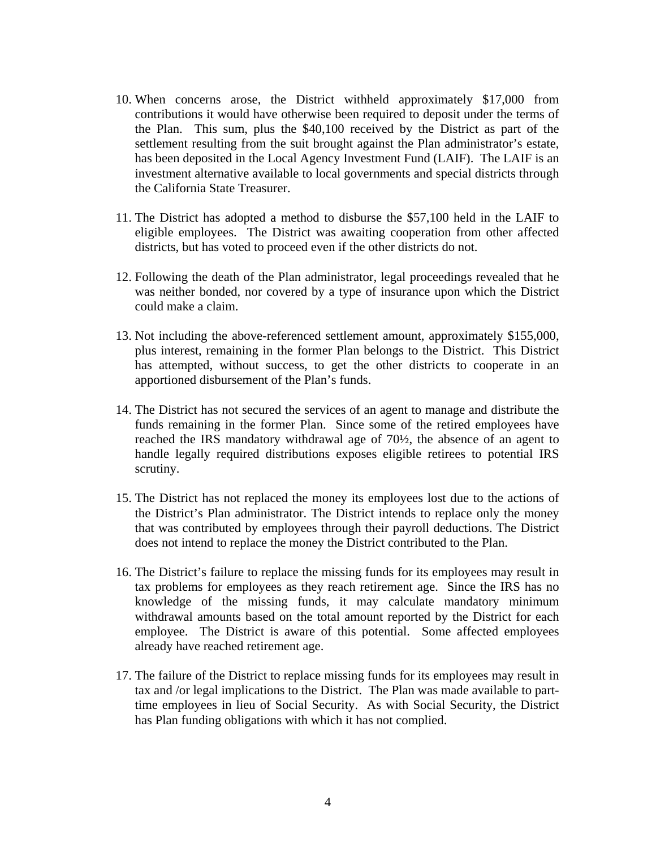- 10. When concerns arose, the District withheld approximately \$17,000 from contributions it would have otherwise been required to deposit under the terms of the Plan. This sum, plus the \$40,100 received by the District as part of the settlement resulting from the suit brought against the Plan administrator's estate, has been deposited in the Local Agency Investment Fund (LAIF). The LAIF is an investment alternative available to local governments and special districts through the California State Treasurer.
- 11. The District has adopted a method to disburse the \$57,100 held in the LAIF to eligible employees. The District was awaiting cooperation from other affected districts, but has voted to proceed even if the other districts do not.
- 12. Following the death of the Plan administrator, legal proceedings revealed that he was neither bonded, nor covered by a type of insurance upon which the District could make a claim.
- 13. Not including the above-referenced settlement amount, approximately \$155,000, plus interest, remaining in the former Plan belongs to the District. This District has attempted, without success, to get the other districts to cooperate in an apportioned disbursement of the Plan's funds.
- 14. The District has not secured the services of an agent to manage and distribute the funds remaining in the former Plan. Since some of the retired employees have reached the IRS mandatory withdrawal age of 70½, the absence of an agent to handle legally required distributions exposes eligible retirees to potential IRS scrutiny.
- 15. The District has not replaced the money its employees lost due to the actions of the District's Plan administrator. The District intends to replace only the money that was contributed by employees through their payroll deductions. The District does not intend to replace the money the District contributed to the Plan.
- 16. The District's failure to replace the missing funds for its employees may result in tax problems for employees as they reach retirement age. Since the IRS has no knowledge of the missing funds, it may calculate mandatory minimum withdrawal amounts based on the total amount reported by the District for each employee. The District is aware of this potential. Some affected employees already have reached retirement age.
- 17. The failure of the District to replace missing funds for its employees may result in tax and /or legal implications to the District. The Plan was made available to parttime employees in lieu of Social Security. As with Social Security, the District has Plan funding obligations with which it has not complied.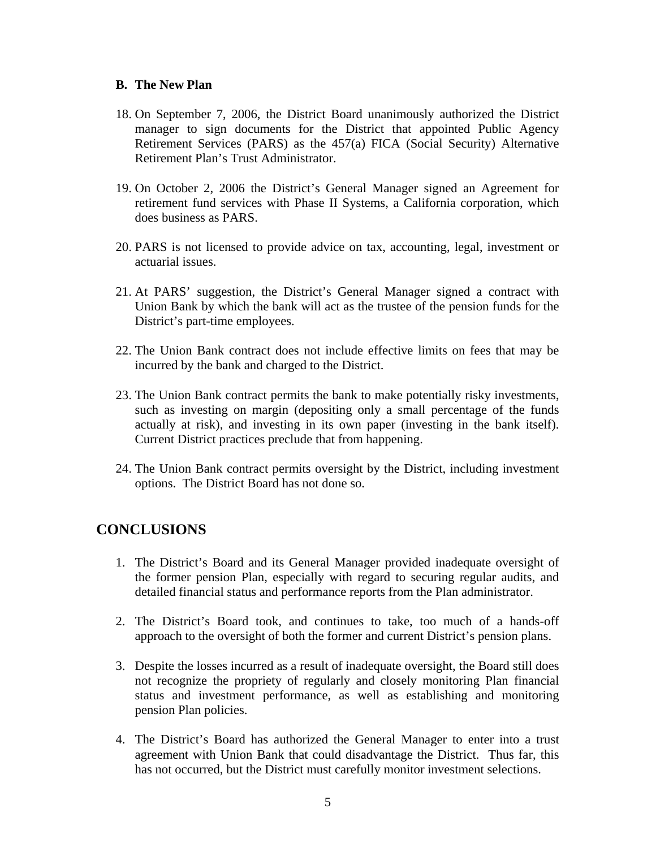#### **B. The New Plan**

- 18. On September 7, 2006, the District Board unanimously authorized the District manager to sign documents for the District that appointed Public Agency Retirement Services (PARS) as the 457(a) FICA (Social Security) Alternative Retirement Plan's Trust Administrator.
- 19. On October 2, 2006 the District's General Manager signed an Agreement for retirement fund services with Phase II Systems, a California corporation, which does business as PARS.
- 20. PARS is not licensed to provide advice on tax, accounting, legal, investment or actuarial issues.
- 21. At PARS' suggestion, the District's General Manager signed a contract with Union Bank by which the bank will act as the trustee of the pension funds for the District's part-time employees.
- 22. The Union Bank contract does not include effective limits on fees that may be incurred by the bank and charged to the District.
- 23. The Union Bank contract permits the bank to make potentially risky investments, such as investing on margin (depositing only a small percentage of the funds actually at risk), and investing in its own paper (investing in the bank itself). Current District practices preclude that from happening.
- 24. The Union Bank contract permits oversight by the District, including investment options. The District Board has not done so.

## **CONCLUSIONS**

- 1. The District's Board and its General Manager provided inadequate oversight of the former pension Plan, especially with regard to securing regular audits, and detailed financial status and performance reports from the Plan administrator.
- 2. The District's Board took, and continues to take, too much of a hands-off approach to the oversight of both the former and current District's pension plans.
- 3. Despite the losses incurred as a result of inadequate oversight, the Board still does not recognize the propriety of regularly and closely monitoring Plan financial status and investment performance, as well as establishing and monitoring pension Plan policies.
- 4. The District's Board has authorized the General Manager to enter into a trust agreement with Union Bank that could disadvantage the District. Thus far, this has not occurred, but the District must carefully monitor investment selections.